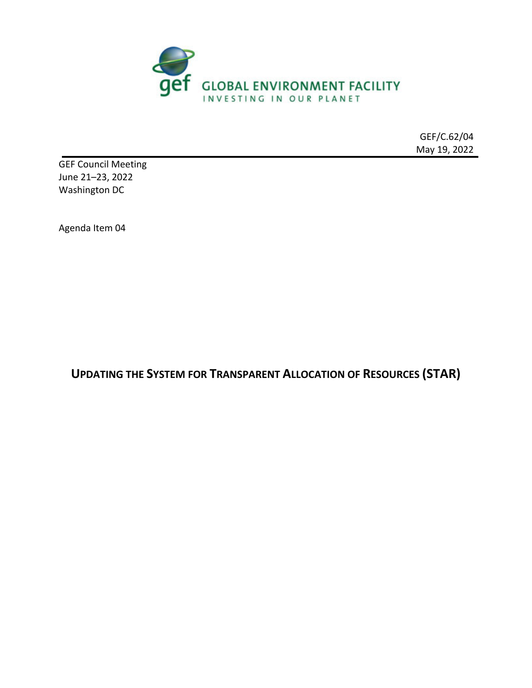

GEF/C.62/04 May 19, 2022

GEF Council Meeting June 21–23, 2022 Washington DC

Agenda Item 04

**UPDATING THE SYSTEM FOR TRANSPARENT ALLOCATION OF RESOURCES (STAR)**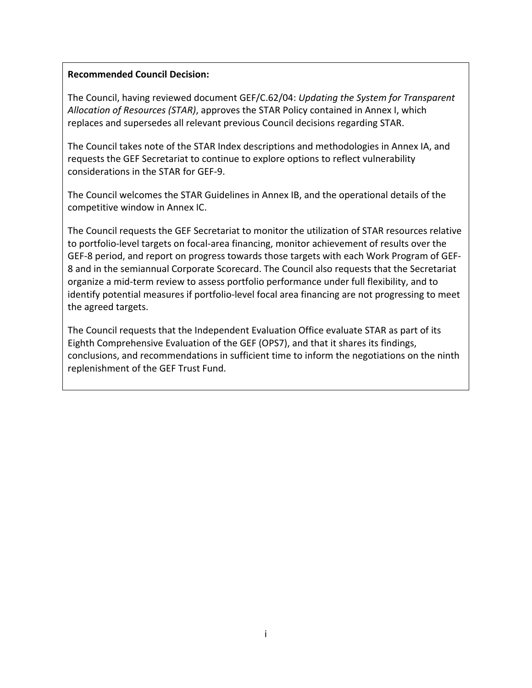#### **Recommended Council Decision:**

The Council, having reviewed document GEF/C.62/04: *Updating the System for Transparent Allocation of Resources (STAR)*, approves the STAR Policy contained in Annex I, which replaces and supersedes all relevant previous Council decisions regarding STAR.

The Council takes note of the STAR Index descriptions and methodologies in Annex IA, and requests the GEF Secretariat to continue to explore options to reflect vulnerability considerations in the STAR for GEF‐9.

The Council welcomes the STAR Guidelines in Annex IB, and the operational details of the competitive window in Annex IC.

The Council requests the GEF Secretariat to monitor the utilization of STAR resources relative to portfolio-level targets on focal-area financing, monitor achievement of results over the GEF‐8 period, and report on progress towards those targets with each Work Program of GEF‐ 8 and in the semiannual Corporate Scorecard. The Council also requests that the Secretariat organize a mid‐term review to assess portfolio performance under full flexibility, and to identify potential measures if portfolio-level focal area financing are not progressing to meet the agreed targets.

The Council requests that the Independent Evaluation Office evaluate STAR as part of its Eighth Comprehensive Evaluation of the GEF (OPS7), and that it shares its findings, conclusions, and recommendations in sufficient time to inform the negotiations on the ninth replenishment of the GEF Trust Fund.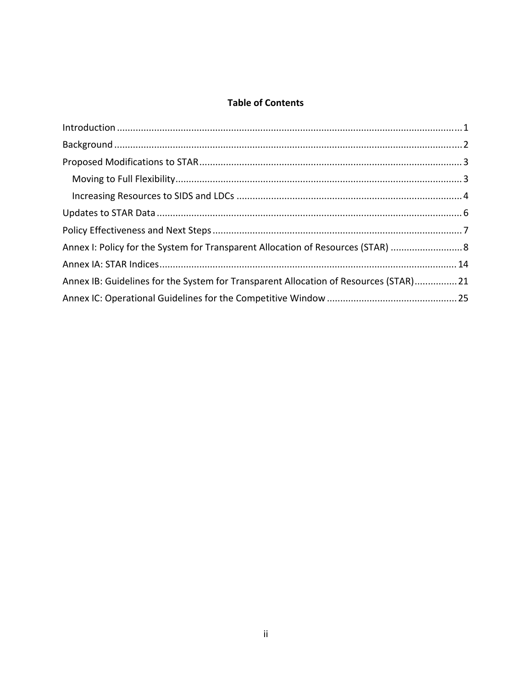## **Table of Contents**

| Annex I: Policy for the System for Transparent Allocation of Resources (STAR)  8     |  |
|--------------------------------------------------------------------------------------|--|
|                                                                                      |  |
| Annex IB: Guidelines for the System for Transparent Allocation of Resources (STAR)21 |  |
|                                                                                      |  |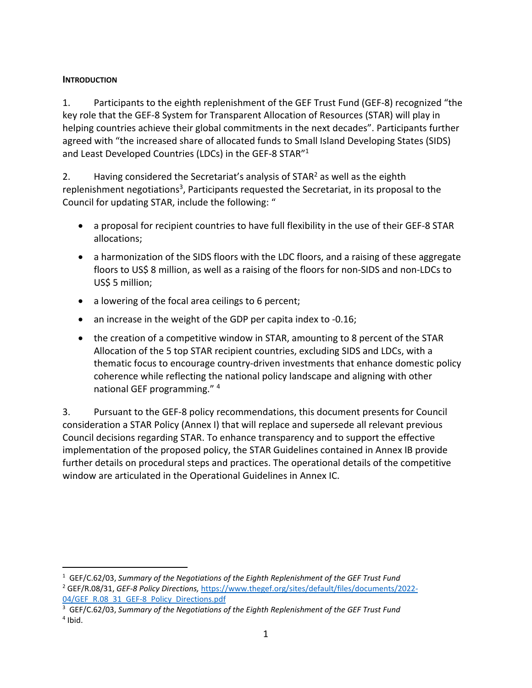#### **INTRODUCTION**

1. Participants to the eighth replenishment of the GEF Trust Fund (GEF‐8) recognized "the key role that the GEF‐8 System for Transparent Allocation of Resources (STAR) will play in helping countries achieve their global commitments in the next decades". Participants further agreed with "the increased share of allocated funds to Small Island Developing States (SIDS) and Least Developed Countries (LDCs) in the GEF‐8 STAR"1

2. Having considered the Secretariat's analysis of  $STAR<sup>2</sup>$  as well as the eighth replenishment negotiations<sup>3</sup>, Participants requested the Secretariat, in its proposal to the Council for updating STAR, include the following: "

- a proposal for recipient countries to have full flexibility in the use of their GEF‐8 STAR allocations;
- a harmonization of the SIDS floors with the LDC floors, and a raising of these aggregate floors to US\$ 8 million, as well as a raising of the floors for non-SIDS and non-LDCs to US\$ 5 million;
- a lowering of the focal area ceilings to 6 percent;
- an increase in the weight of the GDP per capita index to -0.16;
- the creation of a competitive window in STAR, amounting to 8 percent of the STAR Allocation of the 5 top STAR recipient countries, excluding SIDS and LDCs, with a thematic focus to encourage country‐driven investments that enhance domestic policy coherence while reflecting the national policy landscape and aligning with other national GEF programming." <sup>4</sup>

3. Pursuant to the GEF‐8 policy recommendations, this document presents for Council consideration a STAR Policy (Annex I) that will replace and supersede all relevant previous Council decisions regarding STAR. To enhance transparency and to support the effective implementation of the proposed policy, the STAR Guidelines contained in Annex IB provide further details on procedural steps and practices. The operational details of the competitive window are articulated in the Operational Guidelines in Annex IC.

<sup>1</sup> GEF/C.62/03, *Summary of the Negotiations of the Eighth Replenishment of the GEF Trust Fund*

<sup>2</sup> GEF/R.08/31, *GEF‐8 Policy Directions,* https://www.thegef.org/sites/default/files/documents/2022‐ 04/GEF\_R.08\_31\_GEF-8\_Policy\_Directions.pdf

<sup>3</sup> GEF/C.62/03, *Summary of the Negotiations of the Eighth Replenishment of the GEF Trust Fund*  $4$  Ibid.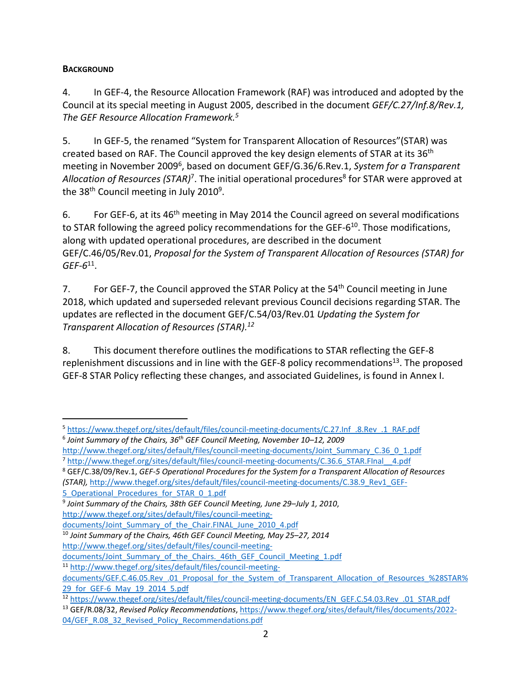### **BACKGROUND**

4. In GEF‐4, the Resource Allocation Framework (RAF) was introduced and adopted by the Council at its special meeting in August 2005, described in the document *GEF/C.27/Inf.8/Rev.1, The GEF Resource Allocation Framework.5*

5. In GEF‐5, the renamed "System for Transparent Allocation of Resources"(STAR) was created based on RAF. The Council approved the key design elements of STAR at its 36<sup>th</sup> meeting in November 20096 , based on document GEF/G.36/6.Rev.1, *System for a Transparent Allocation of Resources (STAR)*<sup>7</sup> . The initial operational procedures8 for STAR were approved at the  $38<sup>th</sup>$  Council meeting in July 2010<sup>9</sup>.

6. For GEF-6, at its 46<sup>th</sup> meeting in May 2014 the Council agreed on several modifications to STAR following the agreed policy recommendations for the GEF-6<sup>10</sup>. Those modifications, along with updated operational procedures, are described in the document GEF/C.46/05/Rev.01, *Proposal for the System of Transparent Allocation of Resources (STAR) for GEF‐6*11.

7. For GEF-7, the Council approved the STAR Policy at the 54<sup>th</sup> Council meeting in June 2018, which updated and superseded relevant previous Council decisions regarding STAR. The updates are reflected in the document GEF/C.54/03/Rev.01 *Updating the System for Transparent Allocation of Resources (STAR).12*

8. This document therefore outlines the modifications to STAR reflecting the GEF‐8 replenishment discussions and in line with the GEF-8 policy recommendations<sup>13</sup>. The proposed GEF‐8 STAR Policy reflecting these changes, and associated Guidelines, is found in Annex I.

5 Operational Procedures for STAR 0 1.pdf

http://www.thegef.org/sites/default/files/council‐meeting‐

<sup>11</sup> http://www.thegef.org/sites/default/files/council‐meeting‐

<sup>5</sup> https://www.thegef.org/sites/default/files/council-meeting-documents/C.27.Inf\_.8.Rev\_.1\_RAF.pdf

<sup>6</sup> *Joint Summary of the Chairs, 36th GEF Council Meeting, November 10–12, 2009*

http://www.thegef.org/sites/default/files/council-meeting-documents/Joint\_Summary\_C.36\_0\_1.pdf 7 http://www.thegef.org/sites/default/files/council-meeting-documents/C.36.6\_STAR.FInal\_\_4.pdf

<sup>8</sup> GEF/C.38/09/Rev.1, *GEF‐5 Operational Procedures for the System for a Transparent Allocation of Resources (STAR),* http://www.thegef.org/sites/default/files/council‐meeting‐documents/C.38.9\_Rev1\_GEF‐

<sup>9</sup> *Joint Summary of the Chairs, 38th GEF Council Meeting, June 29–July 1, 2010*,

http://www.thegef.org/sites/default/files/council‐meeting‐

documents/Joint Summary of the Chair.FINAL June 2010 4.pdf

<sup>10</sup> *Joint Summary of the Chairs, 46th GEF Council Meeting, May 25–27, 2014*

documents/Joint Summary of the Chairs. 46th GEF Council Meeting 1.pdf

documents/GEF.C.46.05.Rev .01 Proposal for the System of Transparent Allocation of Resources %28STAR% 29 for GEF-6 May 19 2014 5.pdf

<sup>12</sup> https://www.thegef.org/sites/default/files/council-meeting-documents/EN\_GEF.C.54.03.Rev\_.01\_STAR.pdf <sup>13</sup> GEF/R.08/32, *Revised Policy Recommendations*, https://www.thegef.org/sites/default/files/documents/2022‐ 04/GEF\_R.08\_32\_Revised\_Policy\_Recommendations.pdf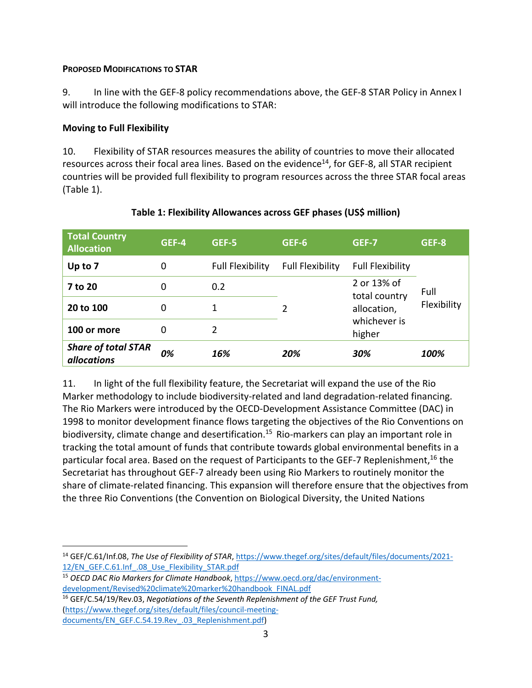#### **PROPOSED MODIFICATIONS TO STAR**

9. In line with the GEF-8 policy recommendations above, the GEF-8 STAR Policy in Annex I will introduce the following modifications to STAR:

#### **Moving to Full Flexibility**

10. Flexibility of STAR resources measures the ability of countries to move their allocated resources across their focal area lines. Based on the evidence<sup>14</sup>, for GEF-8, all STAR recipient countries will be provided full flexibility to program resources across the three STAR focal areas (Table 1).

| <b>Total Country</b><br><b>Allocation</b>        | GEF-4 | GEF-5                   | GEF-6                   | GEF-7                        | GEF-8               |
|--------------------------------------------------|-------|-------------------------|-------------------------|------------------------------|---------------------|
| Up to 7                                          | 0     | <b>Full Flexibility</b> | <b>Full Flexibility</b> | <b>Full Flexibility</b>      |                     |
| 7 to 20                                          | 0     | 0.2                     |                         | 2 or 13% of                  | Full<br>Flexibility |
| 20 to 100                                        | 0     | 1                       | 2                       | total country<br>allocation, |                     |
| 100 or more                                      | 0     | 2                       |                         | whichever is<br>higher       |                     |
| <b>Share of total STAR</b><br><i>allocations</i> | 0%    | 16%                     | 20%                     | 30%                          | 100%                |

#### **Table 1: Flexibility Allowances across GEF phases (US\$ million)**

11. In light of the full flexibility feature, the Secretariat will expand the use of the Rio Marker methodology to include biodiversity-related and land degradation-related financing. The Rio Markers were introduced by the OECD‐Development Assistance Committee (DAC) in 1998 to monitor development finance flows targeting the objectives of the Rio Conventions on biodiversity, climate change and desertification.<sup>15</sup> Rio-markers can play an important role in tracking the total amount of funds that contribute towards global environmental benefits in a particular focal area. Based on the request of Participants to the GEF-7 Replenishment,<sup>16</sup> the Secretariat has throughout GEF‐7 already been using Rio Markers to routinely monitor the share of climate‐related financing. This expansion will therefore ensure that the objectives from the three Rio Conventions (the Convention on Biological Diversity, the United Nations

<sup>14</sup> GEF/C.61/Inf.08, *The Use of Flexibility of STAR*, https://www.thegef.org/sites/default/files/documents/2021‐ 12/EN\_GEF.C.61.Inf\_.08\_Use\_Flexibility\_STAR.pdf

<sup>15</sup> *OECD DAC Rio Markers for Climate Handbook*, https://www.oecd.org/dac/environment‐ development/Revised%20climate%20marker%20handbook\_FINAL.pdf

<sup>16</sup> GEF/C.54/19/Rev.03, *Negotiations of the Seventh Replenishment of the GEF Trust Fund,* (https://www.thegef.org/sites/default/files/council‐meeting‐ documents/EN\_GEF.C.54.19.Rev\_.03\_Replenishment.pdf)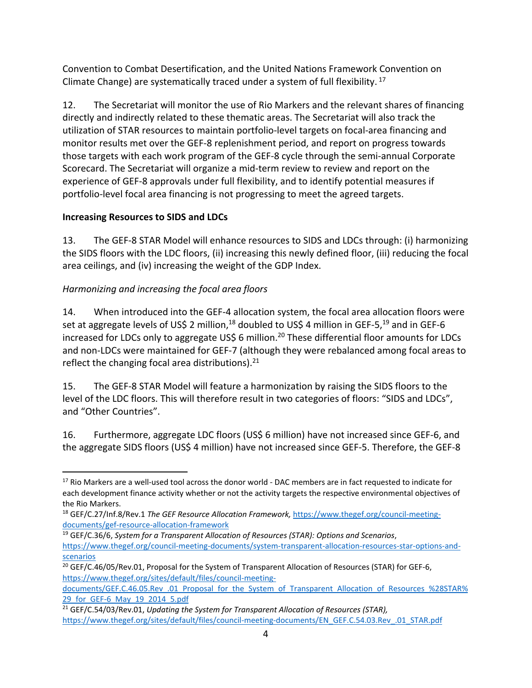Convention to Combat Desertification, and the United Nations Framework Convention on Climate Change) are systematically traced under a system of full flexibility.<sup>17</sup>

12. The Secretariat will monitor the use of Rio Markers and the relevant shares of financing directly and indirectly related to these thematic areas. The Secretariat will also track the utilization of STAR resources to maintain portfolio‐level targets on focal‐area financing and monitor results met over the GEF‐8 replenishment period, and report on progress towards those targets with each work program of the GEF‐8 cycle through the semi‐annual Corporate Scorecard. The Secretariat will organize a mid‐term review to review and report on the experience of GEF‐8 approvals under full flexibility, and to identify potential measures if portfolio‐level focal area financing is not progressing to meet the agreed targets.

### **Increasing Resources to SIDS and LDCs**

13. The GEF‐8 STAR Model will enhance resources to SIDS and LDCs through: (i) harmonizing the SIDS floors with the LDC floors, (ii) increasing this newly defined floor, (iii) reducing the focal area ceilings, and (iv) increasing the weight of the GDP Index.

# *Harmonizing and increasing the focal area floors*

14. When introduced into the GEF-4 allocation system, the focal area allocation floors were set at aggregate levels of US\$ 2 million,<sup>18</sup> doubled to US\$ 4 million in GEF-5,<sup>19</sup> and in GEF-6 increased for LDCs only to aggregate US\$ 6 million.<sup>20</sup> These differential floor amounts for LDCs and non‐LDCs were maintained for GEF‐7 (although they were rebalanced among focal areas to reflect the changing focal area distributions). $21$ 

15. The GEF‐8 STAR Model will feature a harmonization by raising the SIDS floors to the level of the LDC floors. This will therefore result in two categories of floors: "SIDS and LDCs", and "Other Countries".

16. Furthermore, aggregate LDC floors (US\$ 6 million) have not increased since GEF‐6, and the aggregate SIDS floors (US\$ 4 million) have not increased since GEF‐5. Therefore, the GEF‐8

<sup>&</sup>lt;sup>17</sup> Rio Markers are a well-used tool across the donor world - DAC members are in fact requested to indicate for each development finance activity whether or not the activity targets the respective environmental objectives of the Rio Markers.

<sup>18</sup> GEF/C.27/Inf.8/Rev.1 *The GEF Resource Allocation Framework,* https://www.thegef.org/council‐meeting‐ documents/gef‐resource‐allocation‐framework

<sup>19</sup> GEF/C.36/6, *System for a Transparent Allocation of Resources (STAR): Options and Scenarios*, https://www.thegef.org/council-meeting-documents/system-transparent-allocation-resources-star-options-andscenarios

<sup>&</sup>lt;sup>20</sup> GEF/C.46/05/Rev.01, Proposal for the System of Transparent Allocation of Resources (STAR) for GEF-6, https://www.thegef.org/sites/default/files/council-meeting-

documents/GEF.C.46.05.Rev\_.01\_Proposal\_for\_the\_System\_of\_Transparent\_Allocation\_of\_Resources\_%28STAR% 29 for GEF-6 May 19 2014 5.pdf

<sup>21</sup> GEF/C.54/03/Rev.01, *Updating the System for Transparent Allocation of Resources (STAR),* https://www.thegef.org/sites/default/files/council-meeting-documents/EN\_GEF.C.54.03.Rev\_.01\_STAR.pdf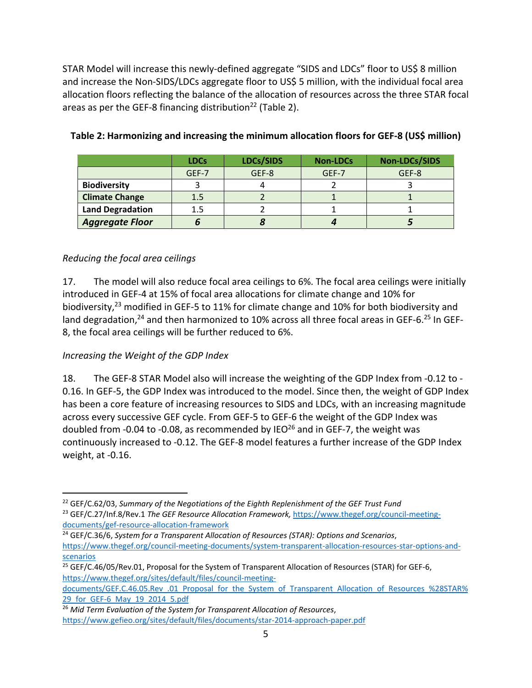STAR Model will increase this newly-defined aggregate "SIDS and LDCs" floor to US\$ 8 million and increase the Non-SIDS/LDCs aggregate floor to US\$ 5 million, with the individual focal area allocation floors reflecting the balance of the allocation of resources across the three STAR focal areas as per the GEF-8 financing distribution<sup>22</sup> (Table 2).

|                         | <b>LDCs</b> | LDCs/SIDS | <b>Non-LDCs</b> | Non-LDCs/SIDS |
|-------------------------|-------------|-----------|-----------------|---------------|
|                         | GEF-7       | GEF-8     | GEF-7           | GEF-8         |
| <b>Biodiversity</b>     |             |           |                 |               |
| <b>Climate Change</b>   | 1.5         |           |                 |               |
| <b>Land Degradation</b> | 1.5         |           |                 |               |
| <b>Aggregate Floor</b>  |             |           |                 |               |

#### **Table 2: Harmonizing and increasing the minimum allocation floors for GEF‐8 (US\$ million)**

#### *Reducing the focal area ceilings*

17. The model will also reduce focal area ceilings to 6%. The focal area ceilings were initially introduced in GEF‐4 at 15% of focal area allocations for climate change and 10% for biodiversity,<sup>23</sup> modified in GEF-5 to 11% for climate change and 10% for both biodiversity and land degradation,<sup>24</sup> and then harmonized to 10% across all three focal areas in GEF-6.<sup>25</sup> In GEF-8, the focal area ceilings will be further reduced to 6%.

#### *Increasing the Weight of the GDP Index*

18. The GEF‐8 STAR Model also will increase the weighting of the GDP Index from ‐0.12 to ‐ 0.16. In GEF‐5, the GDP Index was introduced to the model. Since then, the weight of GDP Index has been a core feature of increasing resources to SIDS and LDCs, with an increasing magnitude across every successive GEF cycle. From GEF‐5 to GEF‐6 the weight of the GDP Index was doubled from -0.04 to -0.08, as recommended by IEO $^{26}$  and in GEF-7, the weight was continuously increased to ‐0.12. The GEF‐8 model features a further increase of the GDP Index weight, at ‐0.16.

<sup>22</sup> GEF/C.62/03, *Summary of the Negotiations of the Eighth Replenishment of the GEF Trust Fund* <sup>23</sup> GEF/C.27/Inf.8/Rev.1 *The GEF Resource Allocation Framework,* https://www.thegef.org/council‐meeting‐

documents/gef‐resource‐allocation‐framework

<sup>24</sup> GEF/C.36/6, *System for a Transparent Allocation of Resources (STAR): Options and Scenarios*, https://www.thegef.org/council-meeting-documents/system-transparent-allocation-resources-star-options-andscenarios

<sup>&</sup>lt;sup>25</sup> GEF/C.46/05/Rev.01, Proposal for the System of Transparent Allocation of Resources (STAR) for GEF-6, https://www.thegef.org/sites/default/files/council-meeting-

documents/GEF.C.46.05.Rev\_.01\_Proposal\_for\_the\_System\_of\_Transparent\_Allocation\_of\_Resources\_%28STAR% 29 for GEF-6 May 19 2014 5.pdf

<sup>26</sup> *Mid Term Evaluation of the System for Transparent Allocation of Resources*, https://www.gefieo.org/sites/default/files/documents/star‐2014‐approach‐paper.pdf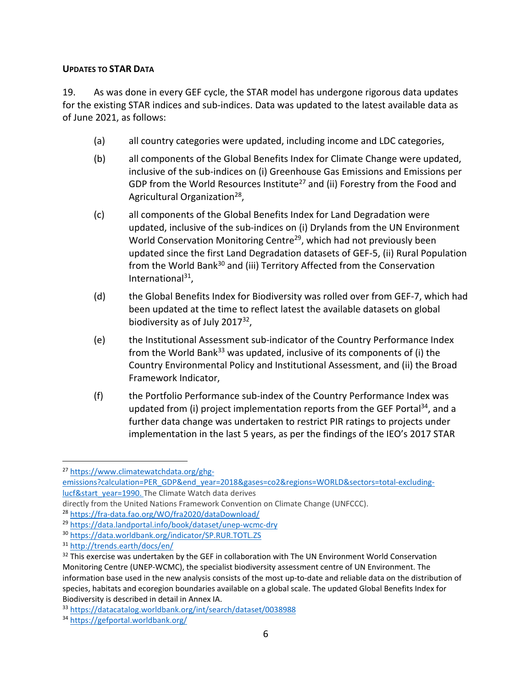#### **UPDATES TO STAR DATA**

19. As was done in every GEF cycle, the STAR model has undergone rigorous data updates for the existing STAR indices and sub-indices. Data was updated to the latest available data as of June 2021, as follows:

- (a) all country categories were updated, including income and LDC categories,
- (b) all components of the Global Benefits Index for Climate Change were updated, inclusive of the sub‐indices on (i) Greenhouse Gas Emissions and Emissions per GDP from the World Resources Institute<sup>27</sup> and (ii) Forestry from the Food and Agricultural Organization<sup>28</sup>,
- (c) all components of the Global Benefits Index for Land Degradation were updated, inclusive of the sub‐indices on (i) Drylands from the UN Environment World Conservation Monitoring Centre<sup>29</sup>, which had not previously been updated since the first Land Degradation datasets of GEF‐5, (ii) Rural Population from the World Bank<sup>30</sup> and (iii) Territory Affected from the Conservation International $31$ ,
- (d) the Global Benefits Index for Biodiversity was rolled over from GEF‐7, which had been updated at the time to reflect latest the available datasets on global biodiversity as of July 2017<sup>32</sup>,
- (e) the Institutional Assessment sub‐indicator of the Country Performance Index from the World Bank<sup>33</sup> was updated, inclusive of its components of (i) the Country Environmental Policy and Institutional Assessment, and (ii) the Broad Framework Indicator,
- (f) the Portfolio Performance sub‐index of the Country Performance Index was updated from (i) project implementation reports from the GEF Portal<sup>34</sup>, and a further data change was undertaken to restrict PIR ratings to projects under implementation in the last 5 years, as per the findings of the IEO's 2017 STAR

<sup>27</sup> https://www.climatewatchdata.org/ghg‐

emissions?calculation=PER\_GDP&end\_year=2018&gases=co2&regions=WORLD&sectors=total-excludinglucf&start\_year=1990. The Climate Watch data derives

directly from the United Nations Framework Convention on Climate Change (UNFCCC).

<sup>28</sup> https://fra‐data.fao.org/WO/fra2020/dataDownload/

<sup>29</sup> https://data.landportal.info/book/dataset/unep‐wcmc‐dry

<sup>30</sup> https://data.worldbank.org/indicator/SP.RUR.TOTL.ZS

<sup>31</sup> http://trends.earth/docs/en/

<sup>&</sup>lt;sup>32</sup> This exercise was undertaken by the GEF in collaboration with The UN Environment World Conservation Monitoring Centre (UNEP‐WCMC), the specialist biodiversity assessment centre of UN Environment. The information base used in the new analysis consists of the most up-to-date and reliable data on the distribution of species, habitats and ecoregion boundaries available on a global scale. The updated Global Benefits Index for Biodiversity is described in detail in Annex IA.

<sup>33</sup> https://datacatalog.worldbank.org/int/search/dataset/0038988

<sup>34</sup> https://gefportal.worldbank.org/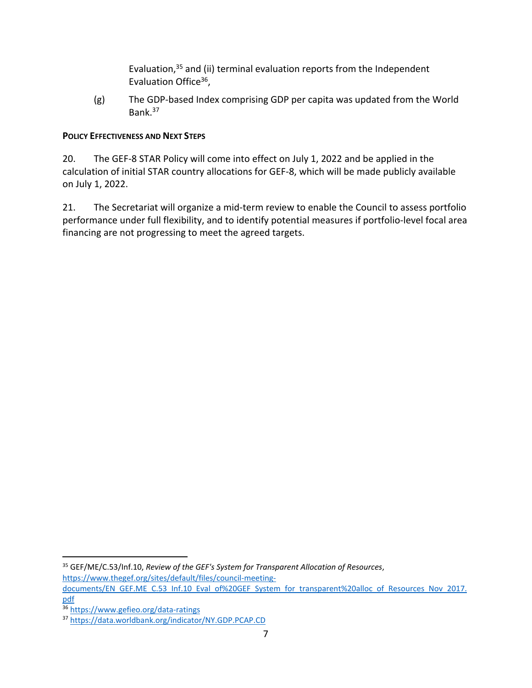Evaluation,35 and (ii) terminal evaluation reports from the Independent Evaluation Office<sup>36</sup>,

(g) The GDP‐based Index comprising GDP per capita was updated from the World Bank.37

#### **POLICY EFFECTIVENESS AND NEXT STEPS**

20. The GEF-8 STAR Policy will come into effect on July 1, 2022 and be applied in the calculation of initial STAR country allocations for GEF‐8, which will be made publicly available on July 1, 2022.

21. The Secretariat will organize a mid-term review to enable the Council to assess portfolio performance under full flexibility, and to identify potential measures if portfolio-level focal area financing are not progressing to meet the agreed targets.

<sup>35</sup> GEF/ME/C.53/Inf.10, *Review of the GEF's System for Transparent Allocation of Resources*, https://www.thegef.org/sites/default/files/council-meeting-

documents/EN\_GEF.ME\_C.53\_Inf.10\_Eval\_of%20GEF\_System\_for\_transparent%20alloc\_of\_Resources\_Nov\_2017. pdf

<sup>36</sup> https://www.gefieo.org/data-ratings

<sup>37</sup> https://data.worldbank.org/indicator/NY.GDP.PCAP.CD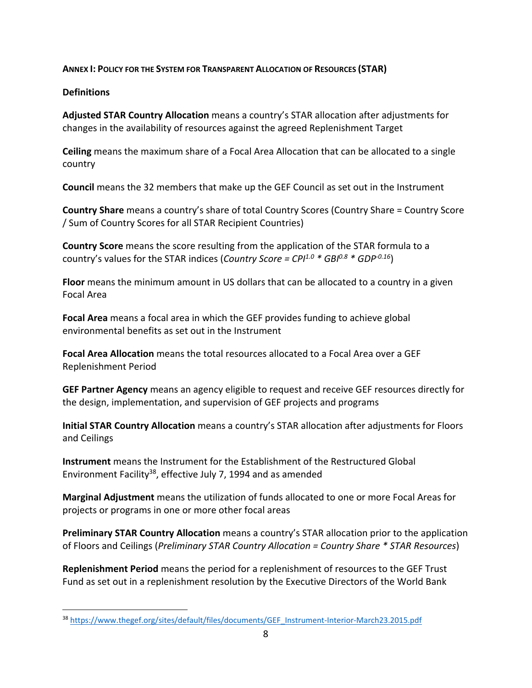#### **ANNEX I: POLICY FOR THE SYSTEM FOR TRANSPARENT ALLOCATION OF RESOURCES (STAR)**

#### **Definitions**

**Adjusted STAR Country Allocation** means a country's STAR allocation after adjustments for changes in the availability of resources against the agreed Replenishment Target

**Ceiling** means the maximum share of a Focal Area Allocation that can be allocated to a single country

**Council** means the 32 members that make up the GEF Council as set out in the Instrument

**Country Share** means a country's share of total Country Scores (Country Share = Country Score / Sum of Country Scores for all STAR Recipient Countries)

**Country Score** means the score resulting from the application of the STAR formula to a country's values for the STAR indices (*Country Score = CPI1.0 \* GBI0.8 \* GDP‐0.16*)

**Floor** means the minimum amount in US dollars that can be allocated to a country in a given Focal Area

**Focal Area** means a focal area in which the GEF provides funding to achieve global environmental benefits as set out in the Instrument

**Focal Area Allocation** means the total resources allocated to a Focal Area over a GEF Replenishment Period

**GEF Partner Agency** means an agency eligible to request and receive GEF resources directly for the design, implementation, and supervision of GEF projects and programs

**Initial STAR Country Allocation** means a country's STAR allocation after adjustments for Floors and Ceilings

**Instrument** means the Instrument for the Establishment of the Restructured Global Environment Facility38, effective July 7, 1994 and as amended

**Marginal Adjustment** means the utilization of funds allocated to one or more Focal Areas for projects or programs in one or more other focal areas

**Preliminary STAR Country Allocation** means a country's STAR allocation prior to the application of Floors and Ceilings (*Preliminary STAR Country Allocation = Country Share \* STAR Resources*)

**Replenishment Period** means the period for a replenishment of resources to the GEF Trust Fund as set out in a replenishment resolution by the Executive Directors of the World Bank

<sup>38</sup> https://www.thegef.org/sites/default/files/documents/GEF\_Instrument-Interior-March23.2015.pdf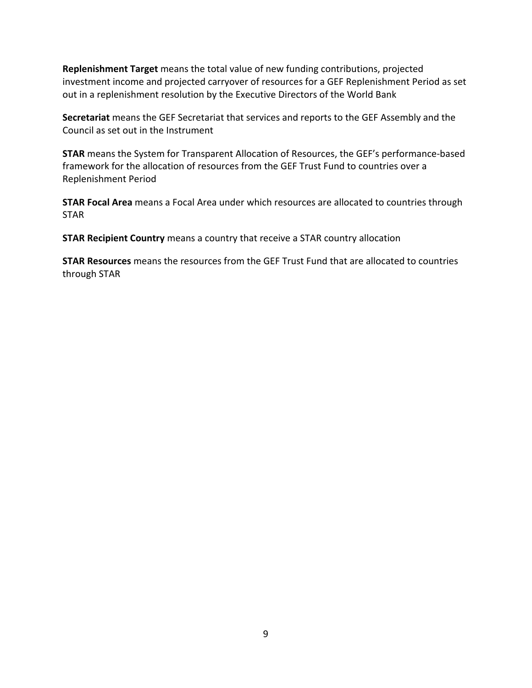**Replenishment Target** means the total value of new funding contributions, projected investment income and projected carryover of resources for a GEF Replenishment Period as set out in a replenishment resolution by the Executive Directors of the World Bank

**Secretariat** means the GEF Secretariat that services and reports to the GEF Assembly and the Council as set out in the Instrument

**STAR** means the System for Transparent Allocation of Resources, the GEF's performance‐based framework for the allocation of resources from the GEF Trust Fund to countries over a Replenishment Period

**STAR Focal Area** means a Focal Area under which resources are allocated to countries through STAR

**STAR Recipient Country** means a country that receive a STAR country allocation

**STAR Resources** means the resources from the GEF Trust Fund that are allocated to countries through STAR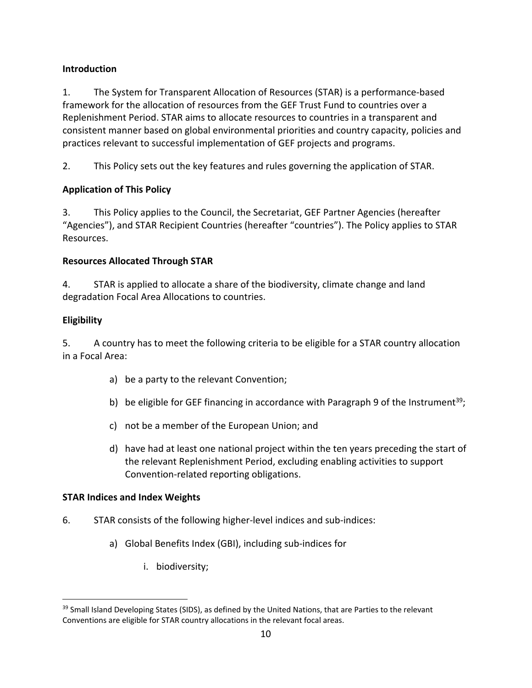### **Introduction**

1. The System for Transparent Allocation of Resources (STAR) is a performance‐based framework for the allocation of resources from the GEF Trust Fund to countries over a Replenishment Period. STAR aims to allocate resources to countries in a transparent and consistent manner based on global environmental priorities and country capacity, policies and practices relevant to successful implementation of GEF projects and programs.

2. This Policy sets out the key features and rules governing the application of STAR.

# **Application of This Policy**

3. This Policy applies to the Council, the Secretariat, GEF Partner Agencies (hereafter "Agencies"), and STAR Recipient Countries (hereafter "countries"). The Policy applies to STAR Resources.

### **Resources Allocated Through STAR**

4. STAR is applied to allocate a share of the biodiversity, climate change and land degradation Focal Area Allocations to countries.

# **Eligibility**

5. A country has to meet the following criteria to be eligible for a STAR country allocation in a Focal Area:

- a) be a party to the relevant Convention;
- b) be eligible for GEF financing in accordance with Paragraph 9 of the Instrument<sup>39</sup>;
- c) not be a member of the European Union; and
- d) have had at least one national project within the ten years preceding the start of the relevant Replenishment Period, excluding enabling activities to support Convention‐related reporting obligations.

### **STAR Indices and Index Weights**

- 6. STAR consists of the following higher‐level indices and sub‐indices:
	- a) Global Benefits Index (GBI), including sub‐indices for
		- i. biodiversity;

<sup>&</sup>lt;sup>39</sup> Small Island Developing States (SIDS), as defined by the United Nations, that are Parties to the relevant Conventions are eligible for STAR country allocations in the relevant focal areas.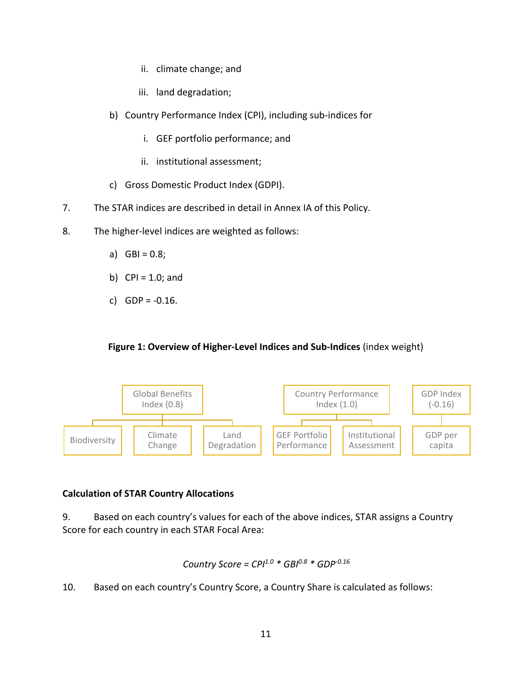- ii. climate change; and
- iii. land degradation;
- b) Country Performance Index (CPI), including sub‐indices for
	- i. GEF portfolio performance; and
	- ii. institutional assessment;
- c) Gross Domestic Product Index (GDPI).
- 7. The STAR indices are described in detail in Annex IA of this Policy.
- 8. The higher-level indices are weighted as follows:
	- a)  $GBI = 0.8;$
	- b) CPI =  $1.0$ ; and
	- c)  $GDP = -0.16$ .

#### **Figure 1: Overview of Higher‐Level Indices and Sub‐Indices** (index weight)



#### **Calculation of STAR Country Allocations**

9. Based on each country's values for each of the above indices, STAR assigns a Country Score for each country in each STAR Focal Area:

Country Score = 
$$
CPI^{1.0} * GBI^{0.8} * GDP^{-0.16}
$$

10. Based on each country's Country Score, a Country Share is calculated as follows: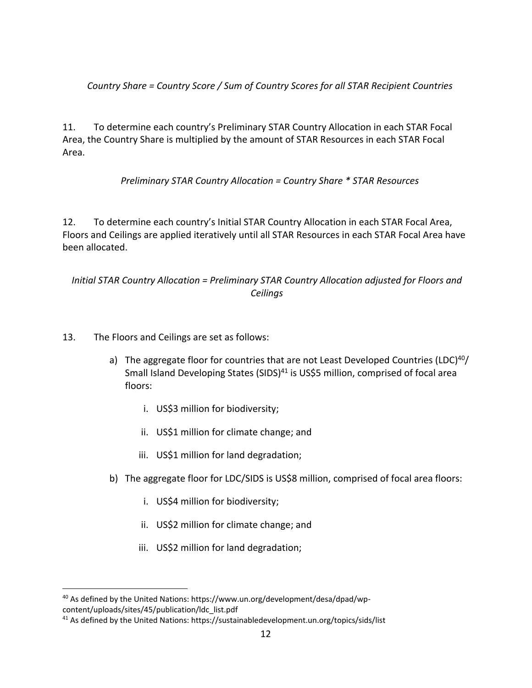*Country Share = Country Score / Sum of Country Scores for all STAR Recipient Countries*

11. To determine each country's Preliminary STAR Country Allocation in each STAR Focal Area, the Country Share is multiplied by the amount of STAR Resources in each STAR Focal Area.

*Preliminary STAR Country Allocation = Country Share \* STAR Resources*

12. To determine each country's Initial STAR Country Allocation in each STAR Focal Area, Floors and Ceilings are applied iteratively until all STAR Resources in each STAR Focal Area have been allocated.

### *Initial STAR Country Allocation = Preliminary STAR Country Allocation adjusted for Floors and Ceilings*

- 13. The Floors and Ceilings are set as follows:
	- a) The aggregate floor for countries that are not Least Developed Countries (LDC)<sup>40</sup>/ Small Island Developing States (SIDS)<sup>41</sup> is US\$5 million, comprised of focal area floors:
		- i. US\$3 million for biodiversity;
		- ii. US\$1 million for climate change; and
		- iii. US\$1 million for land degradation;
	- b) The aggregate floor for LDC/SIDS is US\$8 million, comprised of focal area floors:
		- i. US\$4 million for biodiversity;
		- ii. US\$2 million for climate change; and
		- iii. US\$2 million for land degradation;

<sup>&</sup>lt;sup>40</sup> As defined by the United Nations: https://www.un.org/development/desa/dpad/wpcontent/uploads/sites/45/publication/ldc\_list.pdf

<sup>&</sup>lt;sup>41</sup> As defined by the United Nations: https://sustainabledevelopment.un.org/topics/sids/list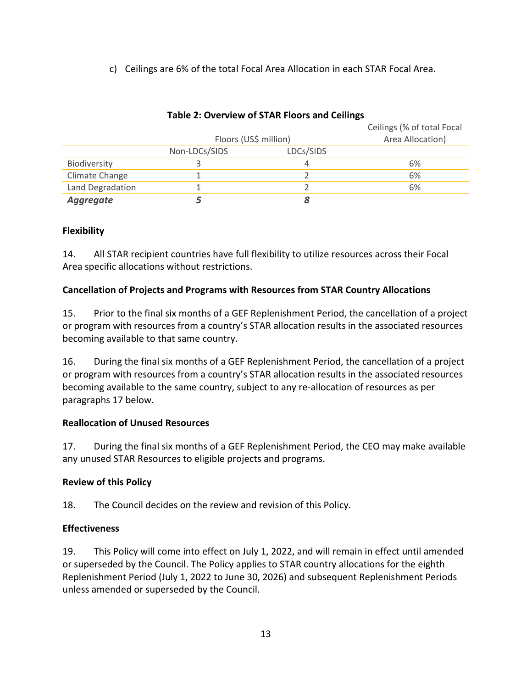c) Ceilings are 6% of the total Focal Area Allocation in each STAR Focal Area.

|                  | Floors (US\$ million) |           | Ceilings (% of total Focal<br>Area Allocation) |
|------------------|-----------------------|-----------|------------------------------------------------|
|                  | Non-LDCs/SIDS         | LDCs/SIDS |                                                |
| Biodiversity     |                       | 4         | 6%                                             |
| Climate Change   |                       |           | 6%                                             |
| Land Degradation |                       |           | 6%                                             |
| <b>Aggregate</b> |                       |           |                                                |

#### **Table 2: Overview of STAR Floors and Ceilings**

### **Flexibility**

14. All STAR recipient countries have full flexibility to utilize resources across their Focal Area specific allocations without restrictions.

### **Cancellation of Projects and Programs with Resources from STAR Country Allocations**

15. Prior to the final six months of a GEF Replenishment Period, the cancellation of a project or program with resources from a country's STAR allocation results in the associated resources becoming available to that same country.

16. During the final six months of a GEF Replenishment Period, the cancellation of a project or program with resources from a country's STAR allocation results in the associated resources becoming available to the same country, subject to any re-allocation of resources as per paragraphs 17 below.

#### **Reallocation of Unused Resources**

17. During the final six months of a GEF Replenishment Period, the CEO may make available any unused STAR Resources to eligible projects and programs.

#### **Review of this Policy**

18. The Council decides on the review and revision of this Policy.

#### **Effectiveness**

19. This Policy will come into effect on July 1, 2022, and will remain in effect until amended or superseded by the Council. The Policy applies to STAR country allocations for the eighth Replenishment Period (July 1, 2022 to June 30, 2026) and subsequent Replenishment Periods unless amended or superseded by the Council.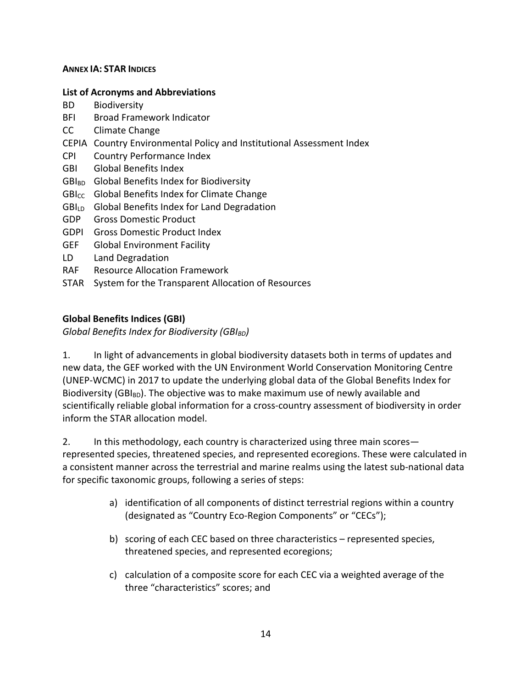#### **ANNEX IA: STAR INDICES**

#### **List of Acronyms and Abbreviations**

- BD Biodiversity
- BFI Broad Framework Indicator
- CC Climate Change
- CEPIA Country Environmental Policy and Institutional Assessment Index
- CPI Country Performance Index
- GBI Global Benefits Index
- GBI<sub>BD</sub> Global Benefits Index for Biodiversity
- $GBI_{CC}$  Global Benefits Index for Climate Change
- GBILD Global Benefits Index for Land Degradation
- GDP Gross Domestic Product
- GDPI Gross Domestic Product Index
- GEF Global Environment Facility
- LD Land Degradation
- RAF Resource Allocation Framework
- STAR System for the Transparent Allocation of Resources

#### **Global Benefits Indices (GBI)**

*Global Benefits Index for Biodiversity (GBIBD)*

1. In light of advancements in global biodiversity datasets both in terms of updates and new data, the GEF worked with the UN Environment World Conservation Monitoring Centre (UNEP‐WCMC) in 2017 to update the underlying global data of the Global Benefits Index for Biodiversity (GBI<sub>BD</sub>). The objective was to make maximum use of newly available and scientifically reliable global information for a cross‐country assessment of biodiversity in order inform the STAR allocation model.

2. In this methodology, each country is characterized using three main scores represented species, threatened species, and represented ecoregions. These were calculated in a consistent manner across the terrestrial and marine realms using the latest sub-national data for specific taxonomic groups, following a series of steps:

- a) identification of all components of distinct terrestrial regions within a country (designated as "Country Eco‐Region Components" or "CECs");
- b) scoring of each CEC based on three characteristics represented species, threatened species, and represented ecoregions;
- c) calculation of a composite score for each CEC via a weighted average of the three "characteristics" scores; and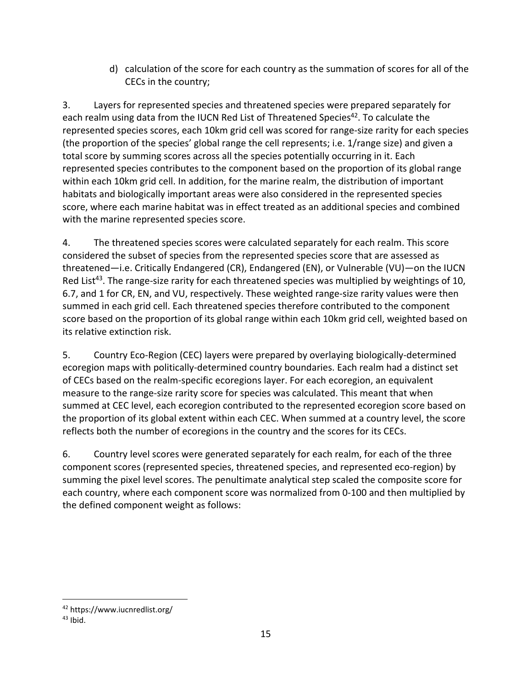d) calculation of the score for each country as the summation of scores for all of the CECs in the country;

3. Layers for represented species and threatened species were prepared separately for each realm using data from the IUCN Red List of Threatened Species<sup>42</sup>. To calculate the represented species scores, each 10km grid cell was scored for range‐size rarity for each species (the proportion of the species' global range the cell represents; i.e. 1/range size) and given a total score by summing scores across all the species potentially occurring in it. Each represented species contributes to the component based on the proportion of its global range within each 10km grid cell. In addition, for the marine realm, the distribution of important habitats and biologically important areas were also considered in the represented species score, where each marine habitat was in effect treated as an additional species and combined with the marine represented species score.

4. The threatened species scores were calculated separately for each realm. This score considered the subset of species from the represented species score that are assessed as threatened—i.e. Critically Endangered (CR), Endangered (EN), or Vulnerable (VU)—on the IUCN Red List<sup>43</sup>. The range-size rarity for each threatened species was multiplied by weightings of 10, 6.7, and 1 for CR, EN, and VU, respectively. These weighted range‐size rarity values were then summed in each grid cell. Each threatened species therefore contributed to the component score based on the proportion of its global range within each 10km grid cell, weighted based on its relative extinction risk.

5. Country Eco‐Region (CEC) layers were prepared by overlaying biologically‐determined ecoregion maps with politically‐determined country boundaries. Each realm had a distinct set of CECs based on the realm‐specific ecoregions layer. For each ecoregion, an equivalent measure to the range‐size rarity score for species was calculated. This meant that when summed at CEC level, each ecoregion contributed to the represented ecoregion score based on the proportion of its global extent within each CEC. When summed at a country level, the score reflects both the number of ecoregions in the country and the scores for its CECs.

6. Country level scores were generated separately for each realm, for each of the three component scores (represented species, threatened species, and represented eco‐region) by summing the pixel level scores. The penultimate analytical step scaled the composite score for each country, where each component score was normalized from 0-100 and then multiplied by the defined component weight as follows:

<sup>42</sup> https://www.iucnredlist.org/

 $43$  Ibid.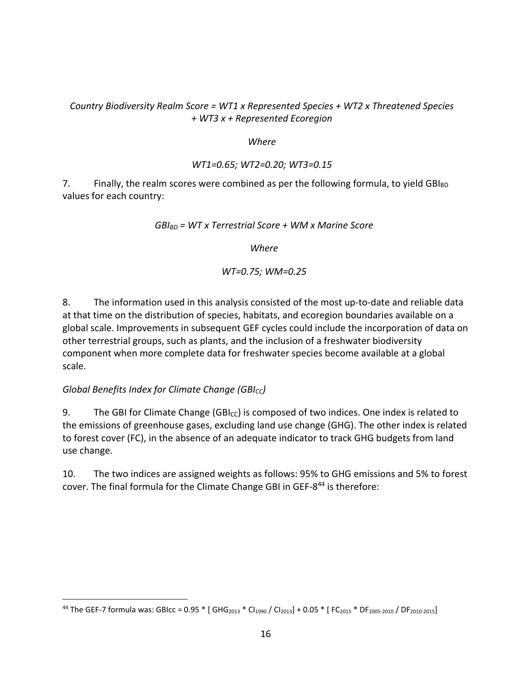#### *Country Biodiversity Realm Score = WT1 x Represented Species + WT2 x Threatened Species + WT3 x + Represented Ecoregion*

#### *Where*

#### *WT1=0.65; WT2=0.20; WT3=0.15*

7. Finally, the realm scores were combined as per the following formula, to yield  $GBI_{BD}$ values for each country:

*GBIBD = WT x Terrestrial Score + WM x Marine Score*

*Where*

#### *WT=0.75; WM=0.25*

8. The information used in this analysis consisted of the most up‐to‐date and reliable data at that time on the distribution of species, habitats, and ecoregion boundaries available on a global scale. Improvements in subsequent GEF cycles could include the incorporation of data on other terrestrial groups, such as plants, and the inclusion of a freshwater biodiversity component when more complete data for freshwater species become available at a global scale.

#### *Global Benefits Index for Climate Change (GBI<sub>CC</sub>)*

9. The GBI for Climate Change (GBI $_{\text{cc}}$ ) is composed of two indices. One index is related to the emissions of greenhouse gases, excluding land use change (GHG). The other index is related to forest cover (FC), in the absence of an adequate indicator to track GHG budgets from land use change.

10. The two indices are assigned weights as follows: 95% to GHG emissions and 5% to forest cover. The final formula for the Climate Change GBI in GEF-8<sup>44</sup> is therefore:

<sup>44</sup> The GEF-7 formula was: GBIcc =  $0.95 *$  [ GHG<sub>2013</sub> \* CI<sub>1990</sub> / CI<sub>2013</sub>] + 0.05 \* [ FC<sub>2015</sub> \* DF<sub>2005-2010</sub> / DF<sub>2010-2015</sub>]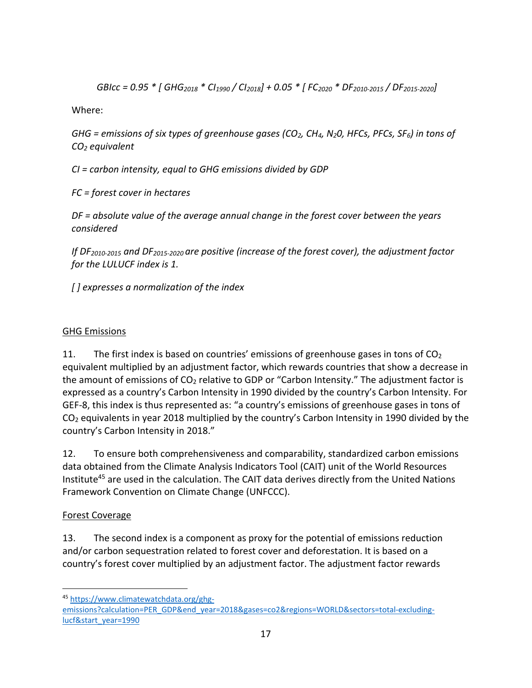GBIcc = 0.95 \* [ GHG<sub>2018</sub> \* Cl<sub>1990</sub> / Cl<sub>2018</sub>] + 0.05 \* [ FC<sub>2020</sub> \* DF<sub>2010-2015</sub> / DF<sub>2015-2020</sub>]

Where:

*GHG = emissions of six types of greenhouse gases (CO2, CH4, N20, HFCs, PFCs, SF6) in tons of CO2 equivalent*

*CI = carbon intensity, equal to GHG emissions divided by GDP*

*FC = forest cover in hectares*

*DF = absolute value of the average annual change in the forest cover between the years considered*

*If DF2010‐<sup>2015</sup> and DF2015‐<sup>2020</sup> are positive (increase of the forest cover), the adjustment factor for the LULUCF index is 1.*

*[ ] expresses a normalization of the index*

# GHG Emissions

11. The first index is based on countries' emissions of greenhouse gases in tons of  $CO<sub>2</sub>$ equivalent multiplied by an adjustment factor, which rewards countries that show a decrease in the amount of emissions of  $CO<sub>2</sub>$  relative to GDP or "Carbon Intensity." The adjustment factor is expressed as a country's Carbon Intensity in 1990 divided by the country's Carbon Intensity. For GEF-8, this index is thus represented as: "a country's emissions of greenhouse gases in tons of CO2 equivalents in year 2018 multiplied by the country's Carbon Intensity in 1990 divided by the country's Carbon Intensity in 2018."

12. To ensure both comprehensiveness and comparability, standardized carbon emissions data obtained from the Climate Analysis Indicators Tool (CAIT) unit of the World Resources Institute<sup>45</sup> are used in the calculation. The CAIT data derives directly from the United Nations Framework Convention on Climate Change (UNFCCC).

# Forest Coverage

13. The second index is a component as proxy for the potential of emissions reduction and/or carbon sequestration related to forest cover and deforestation. It is based on a country's forest cover multiplied by an adjustment factor. The adjustment factor rewards

<sup>45</sup> https://www.climatewatchdata.org/ghg‐

emissions?calculation=PER\_GDP&end\_year=2018&gases=co2&regions=WORLD&sectors=total-excludinglucf&start\_year=1990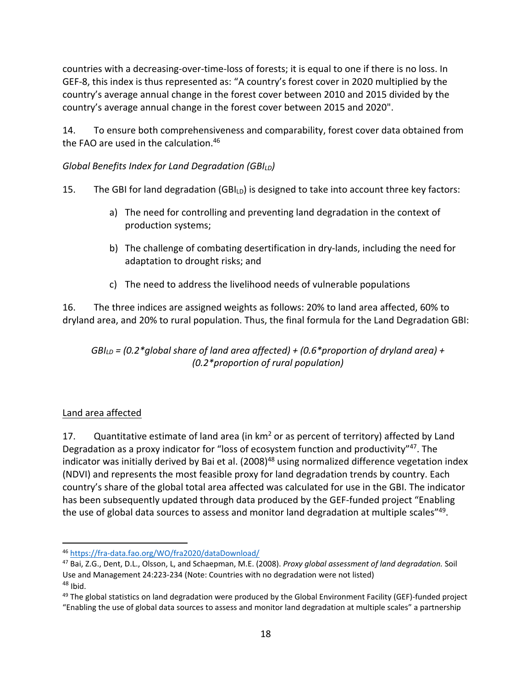countries with a decreasing‐over‐time‐loss of forests; it is equal to one if there is no loss. In GEF‐8, this index is thus represented as: "A country's forest cover in 2020 multiplied by the country's average annual change in the forest cover between 2010 and 2015 divided by the country's average annual change in the forest cover between 2015 and 2020".

14. To ensure both comprehensiveness and comparability, forest cover data obtained from the FAO are used in the calculation.<sup>46</sup>

### *Global Benefits Index for Land Degradation (GBILD)*

- 15. The GBI for land degradation (GBI $_{LD}$ ) is designed to take into account three key factors:
	- a) The need for controlling and preventing land degradation in the context of production systems;
	- b) The challenge of combating desertification in dry-lands, including the need for adaptation to drought risks; and
	- c) The need to address the livelihood needs of vulnerable populations

16. The three indices are assigned weights as follows: 20% to land area affected, 60% to dryland area, and 20% to rural population. Thus, the final formula for the Land Degradation GBI:

*GBILD = (0.2\*global share of land area affected) + (0.6\*proportion of dryland area) + (0.2\*proportion of rural population)*

### Land area affected

17. Quantitative estimate of land area (in km<sup>2</sup> or as percent of territory) affected by Land Degradation as a proxy indicator for "loss of ecosystem function and productivity"47. The indicator was initially derived by Bai et al. (2008)<sup>48</sup> using normalized difference vegetation index (NDVI) and represents the most feasible proxy for land degradation trends by country. Each country's share of the global total area affected was calculated for use in the GBI. The indicator has been subsequently updated through data produced by the GEF‐funded project "Enabling the use of global data sources to assess and monitor land degradation at multiple scales"49.

<sup>46</sup> https://fra‐data.fao.org/WO/fra2020/dataDownload/

<sup>47</sup> Bai, Z.G., Dent, D.L., Olsson, L, and Schaepman, M.E. (2008). *Proxy global assessment of land degradation.* Soil Use and Management 24:223‐234 (Note: Countries with no degradation were not listed)  $48$  Ibid.

<sup>49</sup> The global statistics on land degradation were produced by the Global Environment Facility (GEF)-funded project "Enabling the use of global data sources to assess and monitor land degradation at multiple scales" a partnership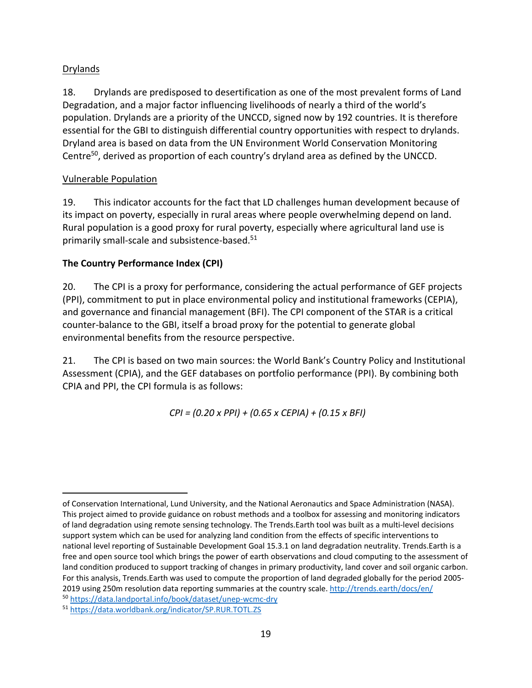### Drylands

18. Drylands are predisposed to desertification as one of the most prevalent forms of Land Degradation, and a major factor influencing livelihoods of nearly a third of the world's population. Drylands are a priority of the UNCCD, signed now by 192 countries. It is therefore essential for the GBI to distinguish differential country opportunities with respect to drylands. Dryland area is based on data from the UN Environment World Conservation Monitoring Centre<sup>50</sup>, derived as proportion of each country's dryland area as defined by the UNCCD.

### Vulnerable Population

19. This indicator accounts for the fact that LD challenges human development because of its impact on poverty, especially in rural areas where people overwhelming depend on land. Rural population is a good proxy for rural poverty, especially where agricultural land use is primarily small-scale and subsistence-based.<sup>51</sup>

### **The Country Performance Index (CPI)**

20. The CPI is a proxy for performance, considering the actual performance of GEF projects (PPI), commitment to put in place environmental policy and institutional frameworks (CEPIA), and governance and financial management (BFI). The CPI component of the STAR is a critical counter‐balance to the GBI, itself a broad proxy for the potential to generate global environmental benefits from the resource perspective.

21. The CPI is based on two main sources: the World Bank's Country Policy and Institutional Assessment (CPIA), and the GEF databases on portfolio performance (PPI). By combining both CPIA and PPI, the CPI formula is as follows:

*CPI = (0.20 x PPI) + (0.65 x CEPIA) + (0.15 x BFI)*

of Conservation International, Lund University, and the National Aeronautics and Space Administration (NASA). This project aimed to provide guidance on robust methods and a toolbox for assessing and monitoring indicators of land degradation using remote sensing technology. The Trends.Earth tool was built as a multi‐level decisions support system which can be used for analyzing land condition from the effects of specific interventions to national level reporting of Sustainable Development Goal 15.3.1 on land degradation neutrality. Trends.Earth is a free and open source tool which brings the power of earth observations and cloud computing to the assessment of land condition produced to support tracking of changes in primary productivity, land cover and soil organic carbon. For this analysis, Trends.Earth was used to compute the proportion of land degraded globally for the period 2005‐ 2019 using 250m resolution data reporting summaries at the country scale. http://trends.earth/docs/en/

<sup>50</sup> https://data.landportal.info/book/dataset/unep‐wcmc‐dry

<sup>51</sup> https://data.worldbank.org/indicator/SP.RUR.TOTL.ZS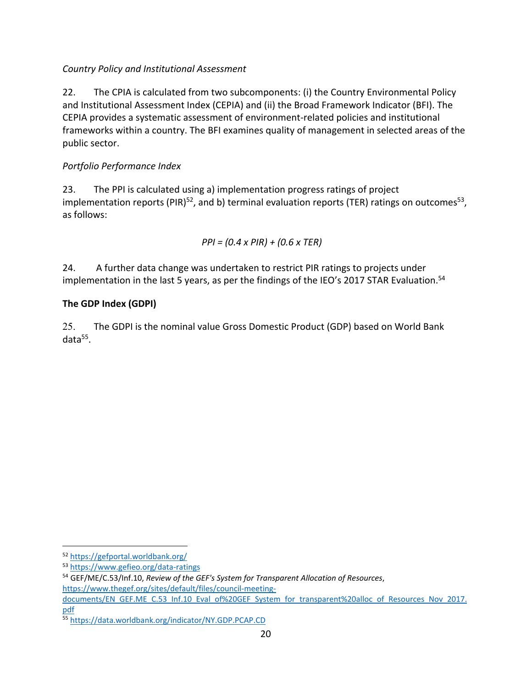### *Country Policy and Institutional Assessment*

22. The CPIA is calculated from two subcomponents: (i) the Country Environmental Policy and Institutional Assessment Index (CEPIA) and (ii) the Broad Framework Indicator (BFI). The CEPIA provides a systematic assessment of environment‐related policies and institutional frameworks within a country. The BFI examines quality of management in selected areas of the public sector.

### *Portfolio Performance Index*

23. The PPI is calculated using a) implementation progress ratings of project implementation reports (PIR)<sup>52</sup>, and b) terminal evaluation reports (TER) ratings on outcomes<sup>53</sup>, as follows:

*PPI = (0.4 x PIR) + (0.6 x TER)*

24. A further data change was undertaken to restrict PIR ratings to projects under implementation in the last 5 years, as per the findings of the IEO's 2017 STAR Evaluation.<sup>54</sup>

### **The GDP Index (GDPI)**

25. The GDPI is the nominal value Gross Domestic Product (GDP) based on World Bank data<sup>55</sup>.

<sup>52</sup> https://gefportal.worldbank.org/

<sup>53</sup> https://www.gefieo.org/data‐ratings

<sup>54</sup> GEF/ME/C.53/Inf.10, *Review of the GEF's System for Transparent Allocation of Resources*, https://www.thegef.org/sites/default/files/council-meeting-

documents/EN\_GEF.ME\_C.53\_Inf.10\_Eval\_of%20GEF\_System\_for\_transparent%20alloc\_of\_Resources\_Nov\_2017. pdf

<sup>55</sup> https://data.worldbank.org/indicator/NY.GDP.PCAP.CD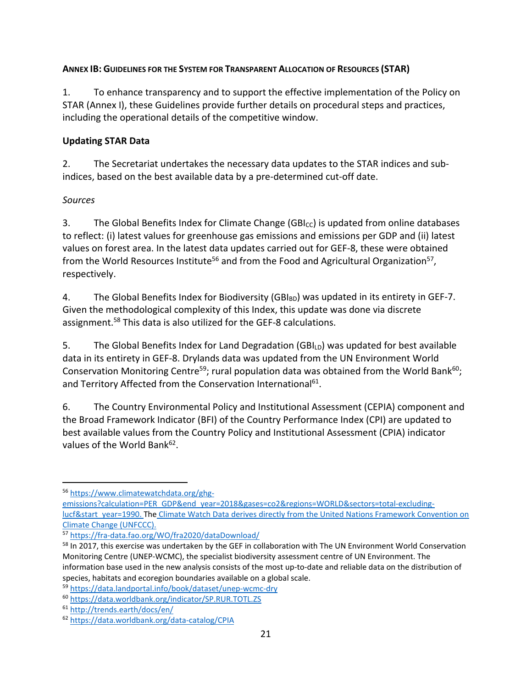#### **ANNEX IB: GUIDELINES FOR THE SYSTEM FOR TRANSPARENT ALLOCATION OF RESOURCES (STAR)**

1. To enhance transparency and to support the effective implementation of the Policy on STAR (Annex I), these Guidelines provide further details on procedural steps and practices, including the operational details of the competitive window.

### **Updating STAR Data**

2. The Secretariat undertakes the necessary data updates to the STAR indices and sub‐ indices, based on the best available data by a pre‐determined cut‐off date.

### *Sources*

3. The Global Benefits Index for Climate Change (GBI<sub>CC</sub>) is updated from online databases to reflect: (i) latest values for greenhouse gas emissions and emissions per GDP and (ii) latest values on forest area. In the latest data updates carried out for GEF‐8, these were obtained from the World Resources Institute<sup>56</sup> and from the Food and Agricultural Organization<sup>57</sup>, respectively.

4. The Global Benefits Index for Biodiversity (GBI $_{BD}$ ) was updated in its entirety in GEF-7. Given the methodological complexity of this Index, this update was done via discrete assignment.58 This data is also utilized for the GEF‐8 calculations.

5. The Global Benefits Index for Land Degradation (GBI $<sub>LD</sub>$ ) was updated for best available</sub> data in its entirety in GEF‐8. Drylands data was updated from the UN Environment World Conservation Monitoring Centre<sup>59</sup>; rural population data was obtained from the World Bank<sup>60</sup>; and Territory Affected from the Conservation International<sup>61</sup>.

6. The Country Environmental Policy and Institutional Assessment (CEPIA) component and the Broad Framework Indicator (BFI) of the Country Performance Index (CPI) are updated to best available values from the Country Policy and Institutional Assessment (CPIA) indicator values of the World Bank<sup>62</sup>.

<sup>56</sup> https://www.climatewatchdata.org/ghg‐

emissions?calculation=PER\_GDP&end\_year=2018&gases=co2&regions=WORLD&sectors=total-excludinglucf&start\_year=1990. The Climate Watch Data derives directly from the United Nations Framework Convention on Climate Change (UNFCCC).

<sup>57</sup> https://fra‐data.fao.org/WO/fra2020/dataDownload/

<sup>&</sup>lt;sup>58</sup> In 2017, this exercise was undertaken by the GEF in collaboration with The UN Environment World Conservation Monitoring Centre (UNEP‐WCMC), the specialist biodiversity assessment centre of UN Environment. The information base used in the new analysis consists of the most up-to-date and reliable data on the distribution of species, habitats and ecoregion boundaries available on a global scale.

<sup>59</sup> https://data.landportal.info/book/dataset/unep‐wcmc‐dry

<sup>60</sup> https://data.worldbank.org/indicator/SP.RUR.TOTL.ZS

<sup>61</sup> http://trends.earth/docs/en/

<sup>62</sup> https://data.worldbank.org/data‐catalog/CPIA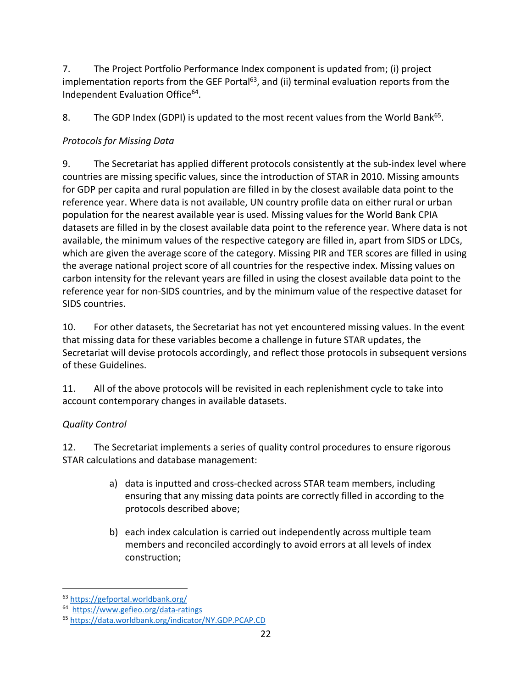7. The Project Portfolio Performance Index component is updated from; (i) project implementation reports from the GEF Portal $63$ , and (ii) terminal evaluation reports from the Independent Evaluation Office<sup>64</sup>.

8. The GDP Index (GDPI) is updated to the most recent values from the World Bank<sup>65</sup>.

# *Protocols for Missing Data*

9. The Secretariat has applied different protocols consistently at the sub-index level where countries are missing specific values, since the introduction of STAR in 2010. Missing amounts for GDP per capita and rural population are filled in by the closest available data point to the reference year. Where data is not available, UN country profile data on either rural or urban population for the nearest available year is used. Missing values for the World Bank CPIA datasets are filled in by the closest available data point to the reference year. Where data is not available, the minimum values of the respective category are filled in, apart from SIDS or LDCs, which are given the average score of the category. Missing PIR and TER scores are filled in using the average national project score of all countries for the respective index. Missing values on carbon intensity for the relevant years are filled in using the closest available data point to the reference year for non-SIDS countries, and by the minimum value of the respective dataset for SIDS countries.

10. For other datasets, the Secretariat has not yet encountered missing values. In the event that missing data for these variables become a challenge in future STAR updates, the Secretariat will devise protocols accordingly, and reflect those protocols in subsequent versions of these Guidelines.

11. All of the above protocols will be revisited in each replenishment cycle to take into account contemporary changes in available datasets.

# *Quality Control*

12. The Secretariat implements a series of quality control procedures to ensure rigorous STAR calculations and database management:

- a) data is inputted and cross‐checked across STAR team members, including ensuring that any missing data points are correctly filled in according to the protocols described above;
- b) each index calculation is carried out independently across multiple team members and reconciled accordingly to avoid errors at all levels of index construction;

<sup>63</sup> https://gefportal.worldbank.org/

<sup>64</sup> https://www.gefieo.org/data‐ratings

<sup>65</sup> https://data.worldbank.org/indicator/NY.GDP.PCAP.CD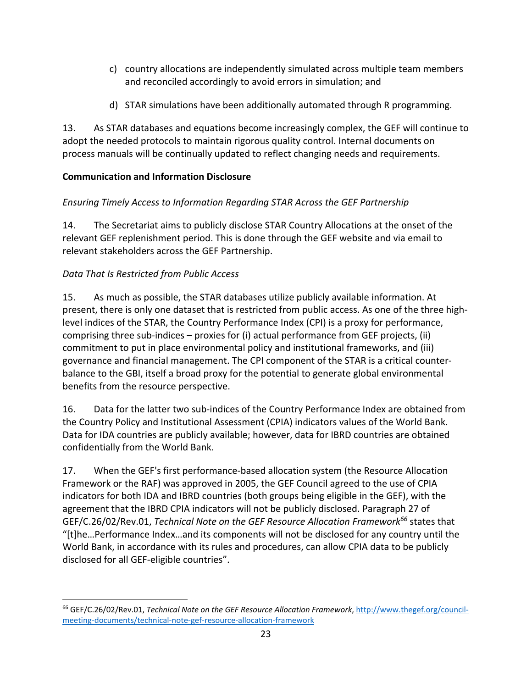- c) country allocations are independently simulated across multiple team members and reconciled accordingly to avoid errors in simulation; and
- d) STAR simulations have been additionally automated through R programming.

13. As STAR databases and equations become increasingly complex, the GEF will continue to adopt the needed protocols to maintain rigorous quality control. Internal documents on process manuals will be continually updated to reflect changing needs and requirements.

# **Communication and Information Disclosure**

# *Ensuring Timely Access to Information Regarding STAR Across the GEF Partnership*

14. The Secretariat aims to publicly disclose STAR Country Allocations at the onset of the relevant GEF replenishment period. This is done through the GEF website and via email to relevant stakeholders across the GEF Partnership.

# *Data That Is Restricted from Public Access*

15. As much as possible, the STAR databases utilize publicly available information. At present, there is only one dataset that is restricted from public access. As one of the three highlevel indices of the STAR, the Country Performance Index (CPI) is a proxy for performance, comprising three sub-indices – proxies for (i) actual performance from GEF projects, (ii) commitment to put in place environmental policy and institutional frameworks, and (iii) governance and financial management. The CPI component of the STAR is a critical counter‐ balance to the GBI, itself a broad proxy for the potential to generate global environmental benefits from the resource perspective.

16. Data for the latter two sub-indices of the Country Performance Index are obtained from the Country Policy and Institutional Assessment (CPIA) indicators values of the World Bank. Data for IDA countries are publicly available; however, data for IBRD countries are obtained confidentially from the World Bank.

17. When the GEF's first performance‐based allocation system (the Resource Allocation Framework or the RAF) was approved in 2005, the GEF Council agreed to the use of CPIA indicators for both IDA and IBRD countries (both groups being eligible in the GEF), with the agreement that the IBRD CPIA indicators will not be publicly disclosed. Paragraph 27 of GEF/C.26/02/Rev.01, *Technical Note on the GEF Resource Allocation Framework66* states that "[t]he…Performance Index…and its components will not be disclosed for any country until the World Bank, in accordance with its rules and procedures, can allow CPIA data to be publicly disclosed for all GEF‐eligible countries".

<sup>66</sup> GEF/C.26/02/Rev.01, *Technical Note on the GEF Resource Allocation Framework*, http://www.thegef.org/council‐ meeting‐documents/technical‐note‐gef‐resource‐allocation‐framework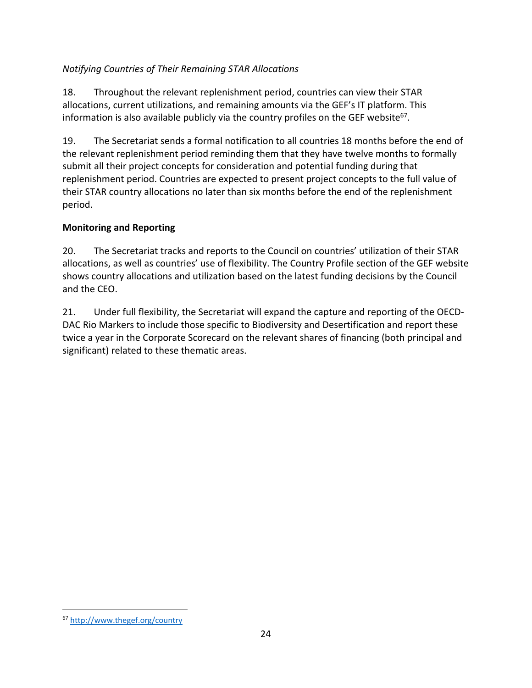### *Notifying Countries of Their Remaining STAR Allocations*

18. Throughout the relevant replenishment period, countries can view their STAR allocations, current utilizations, and remaining amounts via the GEF's IT platform. This information is also available publicly via the country profiles on the GEF website<sup>67</sup>.

19. The Secretariat sends a formal notification to all countries 18 months before the end of the relevant replenishment period reminding them that they have twelve months to formally submit all their project concepts for consideration and potential funding during that replenishment period. Countries are expected to present project concepts to the full value of their STAR country allocations no later than six months before the end of the replenishment period.

#### **Monitoring and Reporting**

20. The Secretariat tracks and reports to the Council on countries' utilization of their STAR allocations, as well as countries' use of flexibility. The Country Profile section of the GEF website shows country allocations and utilization based on the latest funding decisions by the Council and the CEO.

21. Under full flexibility, the Secretariat will expand the capture and reporting of the OECD-DAC Rio Markers to include those specific to Biodiversity and Desertification and report these twice a year in the Corporate Scorecard on the relevant shares of financing (both principal and significant) related to these thematic areas.

<sup>67</sup> http://www.thegef.org/country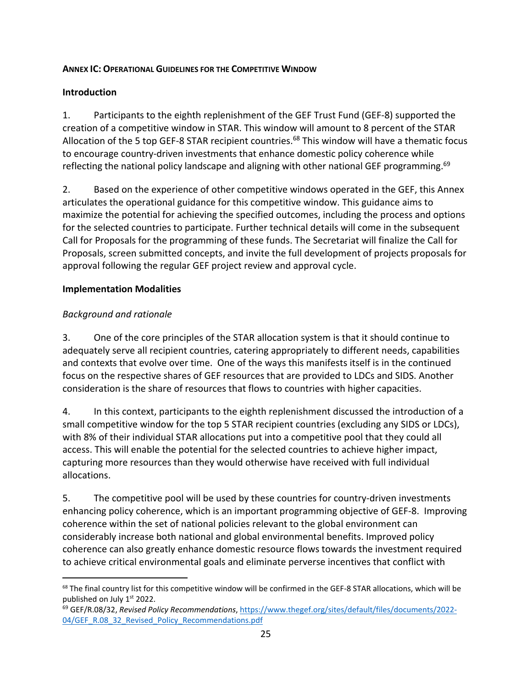#### **ANNEX IC: OPERATIONAL GUIDELINES FOR THE COMPETITIVE WINDOW**

#### **Introduction**

1. Participants to the eighth replenishment of the GEF Trust Fund (GEF‐8) supported the creation of a competitive window in STAR. This window will amount to 8 percent of the STAR Allocation of the 5 top GEF-8 STAR recipient countries.<sup>68</sup> This window will have a thematic focus to encourage country‐driven investments that enhance domestic policy coherence while reflecting the national policy landscape and aligning with other national GEF programming. $69$ 

2. Based on the experience of other competitive windows operated in the GEF, this Annex articulates the operational guidance for this competitive window. This guidance aims to maximize the potential for achieving the specified outcomes, including the process and options for the selected countries to participate. Further technical details will come in the subsequent Call for Proposals for the programming of these funds. The Secretariat will finalize the Call for Proposals, screen submitted concepts, and invite the full development of projects proposals for approval following the regular GEF project review and approval cycle.

#### **Implementation Modalities**

#### *Background and rationale*

3. One of the core principles of the STAR allocation system is that it should continue to adequately serve all recipient countries, catering appropriately to different needs, capabilities and contexts that evolve over time. One of the ways this manifests itself is in the continued focus on the respective shares of GEF resources that are provided to LDCs and SIDS. Another consideration is the share of resources that flows to countries with higher capacities.

4. In this context, participants to the eighth replenishment discussed the introduction of a small competitive window for the top 5 STAR recipient countries (excluding any SIDS or LDCs), with 8% of their individual STAR allocations put into a competitive pool that they could all access. This will enable the potential for the selected countries to achieve higher impact, capturing more resources than they would otherwise have received with full individual allocations.

5. The competitive pool will be used by these countries for country-driven investments enhancing policy coherence, which is an important programming objective of GEF‐8. Improving coherence within the set of national policies relevant to the global environment can considerably increase both national and global environmental benefits. Improved policy coherence can also greatly enhance domestic resource flows towards the investment required to achieve critical environmental goals and eliminate perverse incentives that conflict with

<sup>&</sup>lt;sup>68</sup> The final country list for this competitive window will be confirmed in the GEF-8 STAR allocations, which will be published on July 1<sup>st</sup> 2022.

<sup>69</sup> GEF/R.08/32, *Revised Policy Recommendations*, https://www.thegef.org/sites/default/files/documents/2022‐ 04/GEF\_R.08\_32\_Revised\_Policy\_Recommendations.pdf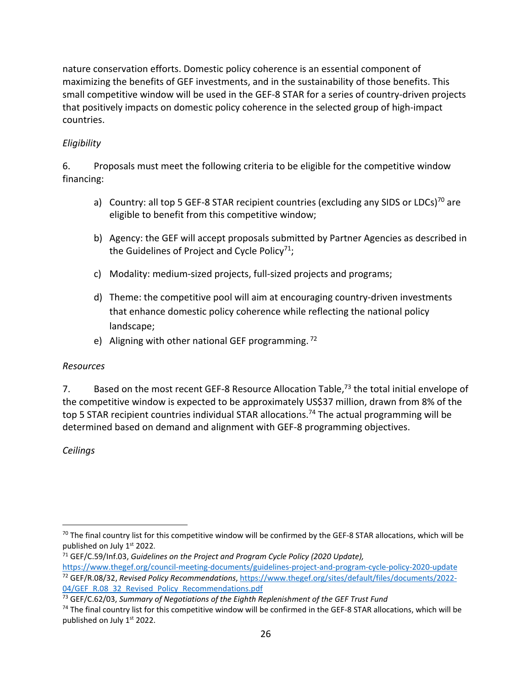nature conservation efforts. Domestic policy coherence is an essential component of maximizing the benefits of GEF investments, and in the sustainability of those benefits. This small competitive window will be used in the GEF‐8 STAR for a series of country‐driven projects that positively impacts on domestic policy coherence in the selected group of high‐impact countries.

### *Eligibility*

6. Proposals must meet the following criteria to be eligible for the competitive window financing:

- a) Country: all top 5 GEF-8 STAR recipient countries (excluding any SIDS or LDCs)<sup>70</sup> are eligible to benefit from this competitive window;
- b) Agency: the GEF will accept proposals submitted by Partner Agencies as described in the Guidelines of Project and Cycle Policy<sup>71</sup>;
- c) Modality: medium‐sized projects, full‐sized projects and programs;
- d) Theme: the competitive pool will aim at encouraging country‐driven investments that enhance domestic policy coherence while reflecting the national policy landscape;
- e) Aligning with other national GEF programming.  $72$

#### *Resources*

7. Based on the most recent GEF-8 Resource Allocation Table,<sup>73</sup> the total initial envelope of the competitive window is expected to be approximately US\$37 million, drawn from 8% of the top 5 STAR recipient countries individual STAR allocations.<sup>74</sup> The actual programming will be determined based on demand and alignment with GEF‐8 programming objectives.

*Ceilings*

<sup>&</sup>lt;sup>70</sup> The final country list for this competitive window will be confirmed by the GEF-8 STAR allocations, which will be published on July 1st 2022.

<sup>71</sup> GEF/C.59/Inf.03, *Guidelines on the Project and Program Cycle Policy (2020 Update),* https://www.thegef.org/council-meeting-documents/guidelines-project-and-program-cycle-policy-2020-update <sup>72</sup> GEF/R.08/32, *Revised Policy Recommendations*, https://www.thegef.org/sites/default/files/documents/2022‐ 04/GEF\_R.08\_32\_Revised\_Policy\_Recommendations.pdf

<sup>73</sup> GEF/C.62/03, *Summary of Negotiations of the Eighth Replenishment of the GEF Trust Fund*

 $74$  The final country list for this competitive window will be confirmed in the GEF-8 STAR allocations, which will be published on July 1<sup>st</sup> 2022.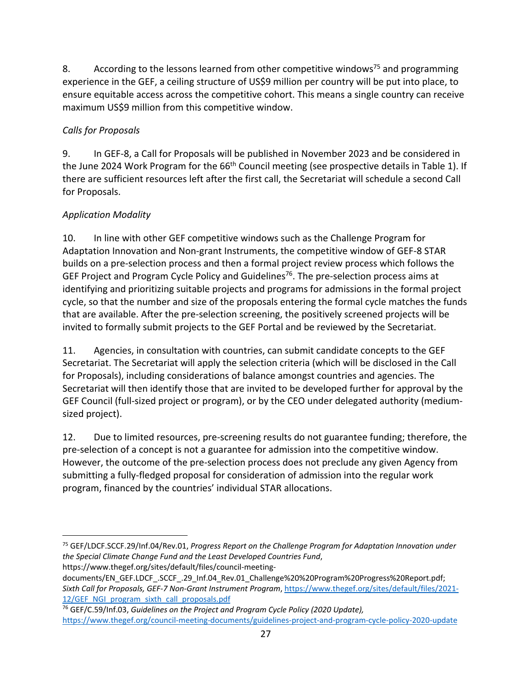8. According to the lessons learned from other competitive windows<sup>75</sup> and programming experience in the GEF, a ceiling structure of US\$9 million per country will be put into place, to ensure equitable access across the competitive cohort. This means a single country can receive maximum US\$9 million from this competitive window.

### *Calls for Proposals*

9. In GEF‐8, a Call for Proposals will be published in November 2023 and be considered in the June 2024 Work Program for the 66<sup>th</sup> Council meeting (see prospective details in Table 1). If there are sufficient resources left after the first call, the Secretariat will schedule a second Call for Proposals.

# *Application Modality*

10. In line with other GEF competitive windows such as the Challenge Program for Adaptation Innovation and Non‐grant Instruments, the competitive window of GEF‐8 STAR builds on a pre‐selection process and then a formal project review process which follows the GEF Project and Program Cycle Policy and Guidelines<sup>76</sup>. The pre-selection process aims at identifying and prioritizing suitable projects and programs for admissions in the formal project cycle, so that the number and size of the proposals entering the formal cycle matches the funds that are available. After the pre‐selection screening, the positively screened projects will be invited to formally submit projects to the GEF Portal and be reviewed by the Secretariat.

11. Agencies, in consultation with countries, can submit candidate concepts to the GEF Secretariat. The Secretariat will apply the selection criteria (which will be disclosed in the Call for Proposals), including considerations of balance amongst countries and agencies. The Secretariat will then identify those that are invited to be developed further for approval by the GEF Council (full‐sized project or program), or by the CEO under delegated authority (medium‐ sized project).

12. Due to limited resources, pre-screening results do not guarantee funding; therefore, the pre‐selection of a concept is not a guarantee for admission into the competitive window. However, the outcome of the pre‐selection process does not preclude any given Agency from submitting a fully‐fledged proposal for consideration of admission into the regular work program, financed by the countries' individual STAR allocations.

<sup>75</sup> GEF/LDCF.SCCF.29/Inf.04/Rev.01, *Progress Report on the Challenge Program for Adaptation Innovation under the Special Climate Change Fund and the Least Developed Countries Fund*, https://www.thegef.org/sites/default/files/council‐meeting‐

documents/EN\_GEF.LDCF\_.SCCF\_.29\_Inf.04\_Rev.01\_Challenge%20%20Program%20Progress%20Report.pdf; *Sixth Call for Proposals, GEF‐7 Non‐Grant Instrument Program*, https://www.thegef.org/sites/default/files/2021‐ 12/GEF\_NGI\_program\_sixth\_call\_proposals.pdf

<sup>76</sup> GEF/C.59/Inf.03, *Guidelines on the Project and Program Cycle Policy (2020 Update),* https://www.thegef.org/council‐meeting‐documents/guidelines‐project‐and‐program‐cycle‐policy‐2020‐update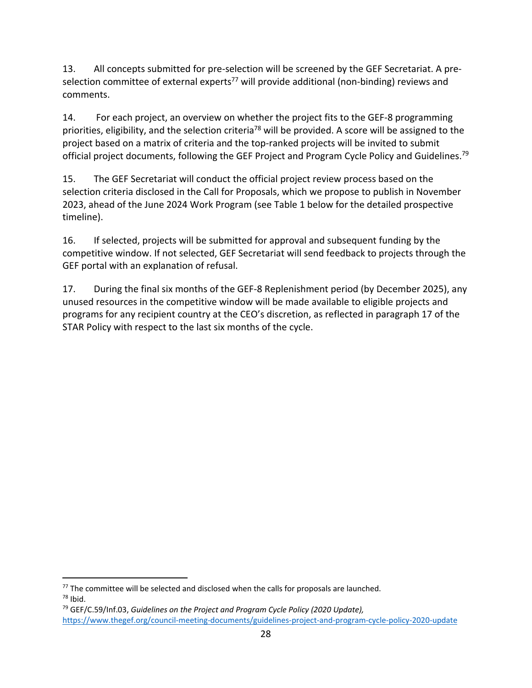13. All concepts submitted for pre-selection will be screened by the GEF Secretariat. A preselection committee of external experts<sup>77</sup> will provide additional (non-binding) reviews and comments.

14. For each project, an overview on whether the project fits to the GEF‐8 programming priorities, eligibility, and the selection criteria<sup>78</sup> will be provided. A score will be assigned to the project based on a matrix of criteria and the top‐ranked projects will be invited to submit official project documents, following the GEF Project and Program Cycle Policy and Guidelines.<sup>79</sup>

15. The GEF Secretariat will conduct the official project review process based on the selection criteria disclosed in the Call for Proposals, which we propose to publish in November 2023, ahead of the June 2024 Work Program (see Table 1 below for the detailed prospective timeline).

16. If selected, projects will be submitted for approval and subsequent funding by the competitive window. If not selected, GEF Secretariat will send feedback to projects through the GEF portal with an explanation of refusal.

17. During the final six months of the GEF‐8 Replenishment period (by December 2025), any unused resources in the competitive window will be made available to eligible projects and programs for any recipient country at the CEO's discretion, as reflected in paragraph 17 of the STAR Policy with respect to the last six months of the cycle.

 $77$  The committee will be selected and disclosed when the calls for proposals are launched.  $78$  Ibid.

<sup>79</sup> GEF/C.59/Inf.03, *Guidelines on the Project and Program Cycle Policy (2020 Update),* https://www.thegef.org/council‐meeting‐documents/guidelines‐project‐and‐program‐cycle‐policy‐2020‐update